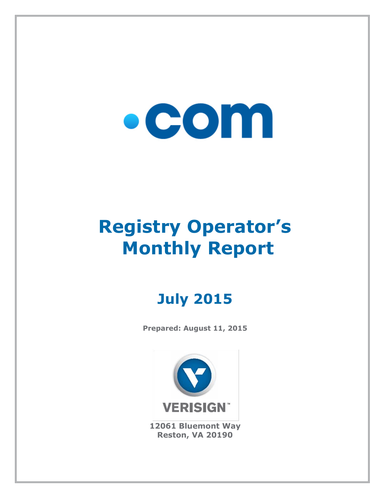# $\bullet$  COM

## **Registry Operator's Monthly Report**

### **July 2015**

**Prepared: August 11, 2015**



**12061 Bluemont Way Reston, VA 20190**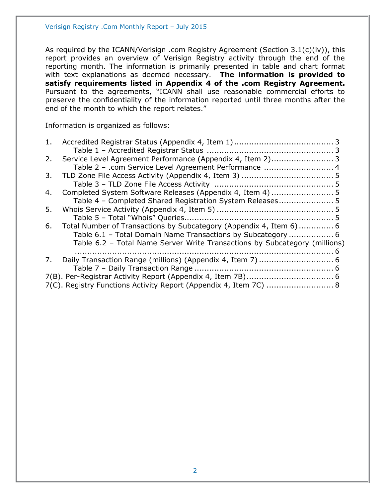As required by the ICANN/Verisign .com Registry Agreement (Section 3.1(c)(iv)), this report provides an overview of Verisign Registry activity through the end of the reporting month. The information is primarily presented in table and chart format with text explanations as deemed necessary. **The information is provided to satisfy requirements listed in Appendix 4 of the .com Registry Agreement.** Pursuant to the agreements, "ICANN shall use reasonable commercial efforts to preserve the confidentiality of the information reported until three months after the end of the month to which the report relates."

Information is organized as follows:

| 1. |                                                                            |  |
|----|----------------------------------------------------------------------------|--|
|    |                                                                            |  |
| 2. |                                                                            |  |
|    | Table 2 - .com Service Level Agreement Performance  4                      |  |
| 3. |                                                                            |  |
|    |                                                                            |  |
| 4. |                                                                            |  |
|    | Table 4 - Completed Shared Registration System Releases 5                  |  |
| 5. |                                                                            |  |
|    |                                                                            |  |
| 6. | Total Number of Transactions by Subcategory (Appendix 4, Item 6)  6        |  |
|    | Table 6.1 - Total Domain Name Transactions by Subcategory  6               |  |
|    | Table 6.2 - Total Name Server Write Transactions by Subcategory (millions) |  |
|    |                                                                            |  |
| 7. |                                                                            |  |
|    |                                                                            |  |
|    |                                                                            |  |
|    | 7(C). Registry Functions Activity Report (Appendix 4, Item 7C)  8          |  |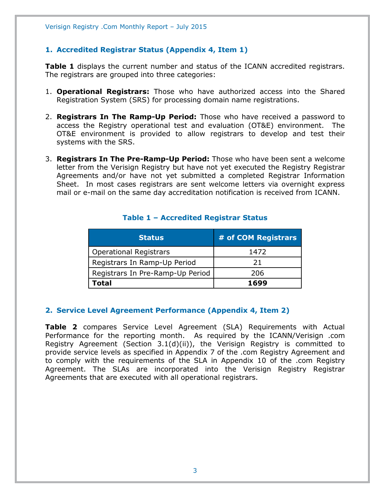#### <span id="page-2-0"></span>**1. Accredited Registrar Status (Appendix 4, Item 1)**

**Table 1** displays the current number and status of the ICANN accredited registrars. The registrars are grouped into three categories:

- 1. **Operational Registrars:** Those who have authorized access into the Shared Registration System (SRS) for processing domain name registrations.
- 2. **Registrars In The Ramp-Up Period:** Those who have received a password to access the Registry operational test and evaluation (OT&E) environment. The OT&E environment is provided to allow registrars to develop and test their systems with the SRS.
- 3. **Registrars In The Pre-Ramp-Up Period:** Those who have been sent a welcome letter from the Verisign Registry but have not yet executed the Registry Registrar Agreements and/or have not yet submitted a completed Registrar Information Sheet. In most cases registrars are sent welcome letters via overnight express mail or e-mail on the same day accreditation notification is received from ICANN.

<span id="page-2-1"></span>

| <b>Status</b>                    | # of COM Registrars |
|----------------------------------|---------------------|
| <b>Operational Registrars</b>    | 1472                |
| Registrars In Ramp-Up Period     | 21                  |
| Registrars In Pre-Ramp-Up Period | 206                 |
| Total                            | 1699                |

#### **Table 1 – Accredited Registrar Status**

#### <span id="page-2-2"></span>**2. Service Level Agreement Performance (Appendix 4, Item 2)**

**Table 2** compares Service Level Agreement (SLA) Requirements with Actual Performance for the reporting month. As required by the ICANN/Verisign .com Registry Agreement (Section 3.1(d)(ii)), the Verisign Registry is committed to provide service levels as specified in Appendix 7 of the .com Registry Agreement and to comply with the requirements of the SLA in Appendix 10 of the .com Registry Agreement. The SLAs are incorporated into the Verisign Registry Registrar Agreements that are executed with all operational registrars.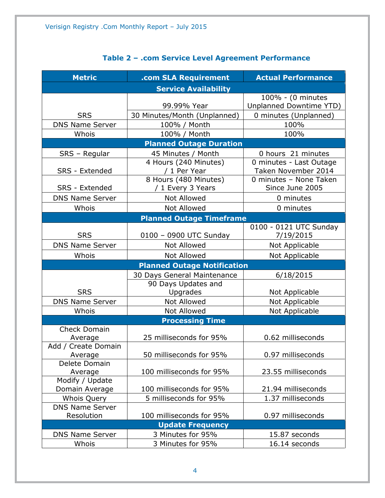<span id="page-3-0"></span>

| <b>Service Availability</b><br>100% - (0 minutes<br>99.99% Year<br>Unplanned Downtime YTD)<br>0 minutes (Unplanned)<br><b>SRS</b><br>30 Minutes/Month (Unplanned)<br>100%<br><b>DNS Name Server</b><br>100% / Month<br>Whois<br>100% / Month<br>100%<br><b>Planned Outage Duration</b><br>SRS - Regular<br>45 Minutes / Month<br>0 hours 21 minutes<br>4 Hours (240 Minutes)<br>0 minutes - Last Outage<br>Taken November 2014<br>SRS - Extended<br>/ 1 Per Year<br>8 Hours (480 Minutes)<br>0 minutes - None Taken<br>/ 1 Every 3 Years<br>Since June 2005<br>SRS - Extended<br>Not Allowed<br><b>DNS Name Server</b><br>0 minutes<br><b>Not Allowed</b><br>Whois<br>0 minutes<br><b>Planned Outage Timeframe</b><br>0100 - 0121 UTC Sunday<br><b>SRS</b><br>0100 - 0900 UTC Sunday<br>7/19/2015<br><b>Not Allowed</b><br><b>DNS Name Server</b><br>Not Applicable<br><b>Not Allowed</b><br>Whois<br>Not Applicable<br><b>Planned Outage Notification</b><br>30 Days General Maintenance<br>6/18/2015<br>90 Days Updates and<br><b>SRS</b><br>Upgrades<br>Not Applicable<br><b>DNS Name Server</b><br>Not Allowed<br>Not Applicable<br><b>Not Allowed</b><br>Not Applicable<br>Whois<br><b>Processing Time</b><br><b>Check Domain</b> |
|----------------------------------------------------------------------------------------------------------------------------------------------------------------------------------------------------------------------------------------------------------------------------------------------------------------------------------------------------------------------------------------------------------------------------------------------------------------------------------------------------------------------------------------------------------------------------------------------------------------------------------------------------------------------------------------------------------------------------------------------------------------------------------------------------------------------------------------------------------------------------------------------------------------------------------------------------------------------------------------------------------------------------------------------------------------------------------------------------------------------------------------------------------------------------------------------------------------------------------------|
|                                                                                                                                                                                                                                                                                                                                                                                                                                                                                                                                                                                                                                                                                                                                                                                                                                                                                                                                                                                                                                                                                                                                                                                                                                        |
|                                                                                                                                                                                                                                                                                                                                                                                                                                                                                                                                                                                                                                                                                                                                                                                                                                                                                                                                                                                                                                                                                                                                                                                                                                        |
|                                                                                                                                                                                                                                                                                                                                                                                                                                                                                                                                                                                                                                                                                                                                                                                                                                                                                                                                                                                                                                                                                                                                                                                                                                        |
|                                                                                                                                                                                                                                                                                                                                                                                                                                                                                                                                                                                                                                                                                                                                                                                                                                                                                                                                                                                                                                                                                                                                                                                                                                        |
|                                                                                                                                                                                                                                                                                                                                                                                                                                                                                                                                                                                                                                                                                                                                                                                                                                                                                                                                                                                                                                                                                                                                                                                                                                        |
|                                                                                                                                                                                                                                                                                                                                                                                                                                                                                                                                                                                                                                                                                                                                                                                                                                                                                                                                                                                                                                                                                                                                                                                                                                        |
|                                                                                                                                                                                                                                                                                                                                                                                                                                                                                                                                                                                                                                                                                                                                                                                                                                                                                                                                                                                                                                                                                                                                                                                                                                        |
|                                                                                                                                                                                                                                                                                                                                                                                                                                                                                                                                                                                                                                                                                                                                                                                                                                                                                                                                                                                                                                                                                                                                                                                                                                        |
|                                                                                                                                                                                                                                                                                                                                                                                                                                                                                                                                                                                                                                                                                                                                                                                                                                                                                                                                                                                                                                                                                                                                                                                                                                        |
|                                                                                                                                                                                                                                                                                                                                                                                                                                                                                                                                                                                                                                                                                                                                                                                                                                                                                                                                                                                                                                                                                                                                                                                                                                        |
|                                                                                                                                                                                                                                                                                                                                                                                                                                                                                                                                                                                                                                                                                                                                                                                                                                                                                                                                                                                                                                                                                                                                                                                                                                        |
|                                                                                                                                                                                                                                                                                                                                                                                                                                                                                                                                                                                                                                                                                                                                                                                                                                                                                                                                                                                                                                                                                                                                                                                                                                        |
|                                                                                                                                                                                                                                                                                                                                                                                                                                                                                                                                                                                                                                                                                                                                                                                                                                                                                                                                                                                                                                                                                                                                                                                                                                        |
|                                                                                                                                                                                                                                                                                                                                                                                                                                                                                                                                                                                                                                                                                                                                                                                                                                                                                                                                                                                                                                                                                                                                                                                                                                        |
|                                                                                                                                                                                                                                                                                                                                                                                                                                                                                                                                                                                                                                                                                                                                                                                                                                                                                                                                                                                                                                                                                                                                                                                                                                        |
|                                                                                                                                                                                                                                                                                                                                                                                                                                                                                                                                                                                                                                                                                                                                                                                                                                                                                                                                                                                                                                                                                                                                                                                                                                        |
|                                                                                                                                                                                                                                                                                                                                                                                                                                                                                                                                                                                                                                                                                                                                                                                                                                                                                                                                                                                                                                                                                                                                                                                                                                        |
|                                                                                                                                                                                                                                                                                                                                                                                                                                                                                                                                                                                                                                                                                                                                                                                                                                                                                                                                                                                                                                                                                                                                                                                                                                        |
|                                                                                                                                                                                                                                                                                                                                                                                                                                                                                                                                                                                                                                                                                                                                                                                                                                                                                                                                                                                                                                                                                                                                                                                                                                        |
|                                                                                                                                                                                                                                                                                                                                                                                                                                                                                                                                                                                                                                                                                                                                                                                                                                                                                                                                                                                                                                                                                                                                                                                                                                        |
|                                                                                                                                                                                                                                                                                                                                                                                                                                                                                                                                                                                                                                                                                                                                                                                                                                                                                                                                                                                                                                                                                                                                                                                                                                        |
|                                                                                                                                                                                                                                                                                                                                                                                                                                                                                                                                                                                                                                                                                                                                                                                                                                                                                                                                                                                                                                                                                                                                                                                                                                        |
|                                                                                                                                                                                                                                                                                                                                                                                                                                                                                                                                                                                                                                                                                                                                                                                                                                                                                                                                                                                                                                                                                                                                                                                                                                        |
|                                                                                                                                                                                                                                                                                                                                                                                                                                                                                                                                                                                                                                                                                                                                                                                                                                                                                                                                                                                                                                                                                                                                                                                                                                        |
|                                                                                                                                                                                                                                                                                                                                                                                                                                                                                                                                                                                                                                                                                                                                                                                                                                                                                                                                                                                                                                                                                                                                                                                                                                        |
|                                                                                                                                                                                                                                                                                                                                                                                                                                                                                                                                                                                                                                                                                                                                                                                                                                                                                                                                                                                                                                                                                                                                                                                                                                        |
|                                                                                                                                                                                                                                                                                                                                                                                                                                                                                                                                                                                                                                                                                                                                                                                                                                                                                                                                                                                                                                                                                                                                                                                                                                        |
| 25 milliseconds for 95%<br>0.62 milliseconds<br>Average                                                                                                                                                                                                                                                                                                                                                                                                                                                                                                                                                                                                                                                                                                                                                                                                                                                                                                                                                                                                                                                                                                                                                                                |
| Add / Create Domain                                                                                                                                                                                                                                                                                                                                                                                                                                                                                                                                                                                                                                                                                                                                                                                                                                                                                                                                                                                                                                                                                                                                                                                                                    |
| 50 milliseconds for 95%<br>0.97 milliseconds<br>Average                                                                                                                                                                                                                                                                                                                                                                                                                                                                                                                                                                                                                                                                                                                                                                                                                                                                                                                                                                                                                                                                                                                                                                                |
| Delete Domain                                                                                                                                                                                                                                                                                                                                                                                                                                                                                                                                                                                                                                                                                                                                                                                                                                                                                                                                                                                                                                                                                                                                                                                                                          |
| 100 milliseconds for 95%<br>23.55 milliseconds<br>Average                                                                                                                                                                                                                                                                                                                                                                                                                                                                                                                                                                                                                                                                                                                                                                                                                                                                                                                                                                                                                                                                                                                                                                              |
| Modify / Update<br>100 milliseconds for 95%<br>21.94 milliseconds<br>Domain Average                                                                                                                                                                                                                                                                                                                                                                                                                                                                                                                                                                                                                                                                                                                                                                                                                                                                                                                                                                                                                                                                                                                                                    |
| 5 milliseconds for 95%<br>1.37 milliseconds<br><b>Whois Query</b>                                                                                                                                                                                                                                                                                                                                                                                                                                                                                                                                                                                                                                                                                                                                                                                                                                                                                                                                                                                                                                                                                                                                                                      |
| <b>DNS Name Server</b>                                                                                                                                                                                                                                                                                                                                                                                                                                                                                                                                                                                                                                                                                                                                                                                                                                                                                                                                                                                                                                                                                                                                                                                                                 |
| 100 milliseconds for 95%<br>0.97 milliseconds<br>Resolution                                                                                                                                                                                                                                                                                                                                                                                                                                                                                                                                                                                                                                                                                                                                                                                                                                                                                                                                                                                                                                                                                                                                                                            |
| <b>Update Frequency</b>                                                                                                                                                                                                                                                                                                                                                                                                                                                                                                                                                                                                                                                                                                                                                                                                                                                                                                                                                                                                                                                                                                                                                                                                                |
| 3 Minutes for 95%<br><b>DNS Name Server</b><br>15.87 seconds                                                                                                                                                                                                                                                                                                                                                                                                                                                                                                                                                                                                                                                                                                                                                                                                                                                                                                                                                                                                                                                                                                                                                                           |
| 3 Minutes for 95%<br>Whois<br>16.14 seconds                                                                                                                                                                                                                                                                                                                                                                                                                                                                                                                                                                                                                                                                                                                                                                                                                                                                                                                                                                                                                                                                                                                                                                                            |

#### **Table 2 – .com Service Level Agreement Performance**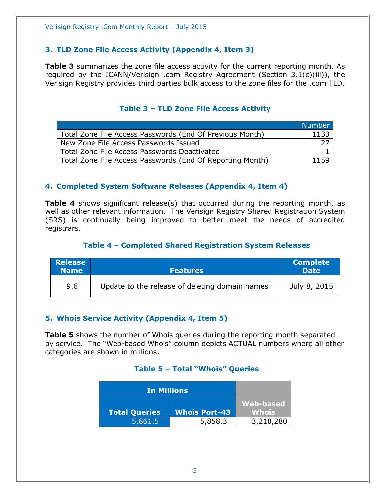#### <span id="page-4-0"></span>**3. TLD Zone File Access Activity (Appendix 4, Item 3)**

**Table 3** summarizes the zone file access activity for the current reporting month. As required by the ICANN/Verisign .com Registry Agreement (Section 3.1(c)(iii)), the Verisign Registry provides third parties bulk access to the zone files for the .com TLD.

#### **Table 3 – TLD Zone File Access Activity**

<span id="page-4-1"></span>

|                                                           | <b>Number</b> |
|-----------------------------------------------------------|---------------|
| Total Zone File Access Passwords (End Of Previous Month)  | 1133          |
| New Zone File Access Passwords Issued                     |               |
| Total Zone File Access Passwords Deactivated              |               |
| Total Zone File Access Passwords (End Of Reporting Month) | 1159          |

#### <span id="page-4-2"></span>**4. Completed System Software Releases (Appendix 4, Item 4)**

**Table 4** shows significant release(s) that occurred during the reporting month, as well as other relevant information. The Verisign Registry Shared Registration System (SRS) is continually being improved to better meet the needs of accredited registrars.

#### **Table 4 – Completed Shared Registration System Releases**

<span id="page-4-3"></span>

| <b>Release</b><br><b>Name</b> | <b>Features</b>                                | <b>Complete</b><br><b>Date</b> |
|-------------------------------|------------------------------------------------|--------------------------------|
| 9.6                           | Update to the release of deleting domain names | July 8, 2015                   |

#### <span id="page-4-4"></span>**5. Whois Service Activity (Appendix 4, Item 5)**

<span id="page-4-5"></span>**Table 5** shows the number of Whois queries during the reporting month separated by service. The "Web-based Whois" column depicts ACTUAL numbers where all other categories are shown in millions.

#### **Table 5 – Total "Whois" Queries**

<span id="page-4-6"></span>

| In Millions          |                      |                  |
|----------------------|----------------------|------------------|
|                      |                      | <b>Web-based</b> |
| <b>Total Queries</b> | <b>Whois Port-43</b> | <b>Whois</b>     |
| 5,861.5              | 5,858.3              | 3,218,280        |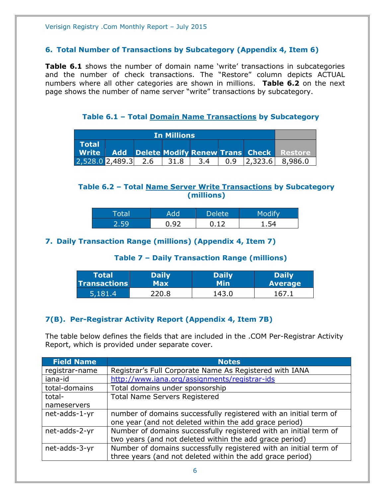#### **6. Total Number of Transactions by Subcategory (Appendix 4, Item 6)**

**Table 6.1** shows the number of domain name 'write' transactions in subcategories and the number of check transactions. The "Restore" column depicts ACTUAL numbers where all other categories are shown in millions. **Table 6.2** on the next page shows the number of name server "write" transactions by subcategory.

**Table 6.1 – Total Domain Name Transactions by Subcategory**

<span id="page-5-0"></span>

| <b>In Millions</b>                           |  |  |      |     |  |  |                                                   |
|----------------------------------------------|--|--|------|-----|--|--|---------------------------------------------------|
| Total                                        |  |  |      |     |  |  |                                                   |
|                                              |  |  |      |     |  |  | Write Add Delete Modify Renew Trans Check Restore |
| $\left  2,528.0 \right  2,489.3 \right  2.6$ |  |  | 31.8 | 3.4 |  |  | $0.9$   2,323.6   8,986.0                         |

#### <span id="page-5-1"></span>**Table 6.2 – Total Name Server Write Transactions by Subcategory (millions)**

|    |    | Delete' |  |
|----|----|---------|--|
| 50 | റാ | $\sim$  |  |

#### <span id="page-5-3"></span><span id="page-5-2"></span>**7. Daily Transaction Range (millions) (Appendix 4, Item 7)**

#### **Table 7 – Daily Transaction Range (millions)**

| <b>Total</b>        | <b>Daily</b> | <b>Daily</b> | <b>Daily</b>   |
|---------------------|--------------|--------------|----------------|
| <b>Transactions</b> | Max          | Min          | <b>Average</b> |
| 5,181.4             | 220.8        | 143.0        | 167            |

#### <span id="page-5-4"></span>**7(B). Per-Registrar Activity Report (Appendix 4, Item 7B)**

The table below defines the fields that are included in the .COM Per-Registrar Activity Report, which is provided under separate cover.

| <b>Field Name</b> | <b>Notes</b>                                                      |
|-------------------|-------------------------------------------------------------------|
| registrar-name    | Registrar's Full Corporate Name As Registered with IANA           |
| iana-id           | http://www.iana.org/assignments/registrar-ids                     |
| total-domains     | Total domains under sponsorship                                   |
| total-            | <b>Total Name Servers Registered</b>                              |
| nameservers       |                                                                   |
| net-adds-1-yr     | number of domains successfully registered with an initial term of |
|                   | one year (and not deleted within the add grace period)            |
| net-adds-2-yr     | Number of domains successfully registered with an initial term of |
|                   | two years (and not deleted within the add grace period)           |
| net-adds-3-yr     | Number of domains successfully registered with an initial term of |
|                   | three years (and not deleted within the add grace period)         |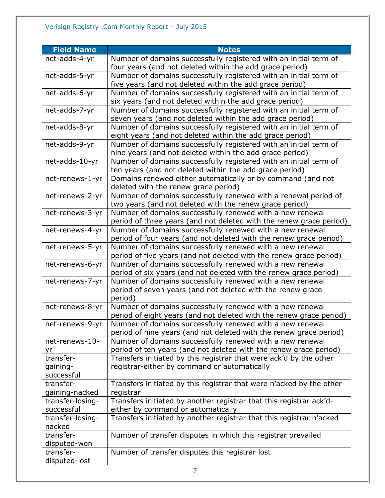| <b>Field Name</b>              | <b>Notes</b>                                                                                               |
|--------------------------------|------------------------------------------------------------------------------------------------------------|
| net-adds-4-yr                  | Number of domains successfully registered with an initial term of                                          |
|                                | four years (and not deleted within the add grace period)                                                   |
| net-adds-5-yr                  | Number of domains successfully registered with an initial term of                                          |
|                                | five years (and not deleted within the add grace period)                                                   |
| net-adds-6-yr                  | Number of domains successfully registered with an initial term of                                          |
|                                | six years (and not deleted within the add grace period)                                                    |
| net-adds-7-yr                  | Number of domains successfully registered with an initial term of                                          |
|                                | seven years (and not deleted within the add grace period)                                                  |
| net-adds-8-yr                  | Number of domains successfully registered with an initial term of                                          |
|                                | eight years (and not deleted within the add grace period)                                                  |
| net-adds-9-yr                  | Number of domains successfully registered with an initial term of                                          |
|                                | nine years (and not deleted within the add grace period)                                                   |
| net-adds-10-yr                 | Number of domains successfully registered with an initial term of                                          |
|                                | ten years (and not deleted within the add grace period)                                                    |
| net-renews-1-yr                | Domains renewed either automatically or by command (and not                                                |
| net-renews-2-yr                | deleted with the renew grace period)<br>Number of domains successfully renewed with a renewal period of    |
|                                | two years (and not deleted with the renew grace period)                                                    |
| net-renews-3-yr                | Number of domains successfully renewed with a new renewal                                                  |
|                                | period of three years (and not deleted with the renew grace period)                                        |
| net-renews-4-yr                | Number of domains successfully renewed with a new renewal                                                  |
|                                | period of four years (and not deleted with the renew grace period)                                         |
| net-renews-5-yr                | Number of domains successfully renewed with a new renewal                                                  |
|                                | period of five years (and not deleted with the renew grace period)                                         |
| net-renews-6-yr                | Number of domains successfully renewed with a new renewal                                                  |
|                                | period of six years (and not deleted with the renew grace period)                                          |
| net-renews-7-yr                | Number of domains successfully renewed with a new renewal                                                  |
|                                | period of seven years (and not deleted with the renew grace                                                |
|                                | period)                                                                                                    |
| net-renews-8-yr                | Number of domains successfully renewed with a new renewal                                                  |
|                                | period of eight years (and not deleted with the renew grace period)                                        |
| net-renews-9-yr                | Number of domains successfully renewed with a new renewal                                                  |
|                                | period of nine years (and not deleted with the renew grace period)                                         |
| net-renews-10-                 | Number of domains successfully renewed with a new renewal                                                  |
| yr                             | period of ten years (and not deleted with the renew grace period)                                          |
| transfer-                      | Transfers initiated by this registrar that were ack'd by the other                                         |
| gaining-                       | registrar-either by command or automatically                                                               |
| successful                     |                                                                                                            |
| transfer-                      | Transfers initiated by this registrar that were n'acked by the other                                       |
| gaining-nacked                 | registrar                                                                                                  |
| transfer-losing-<br>successful | Transfers initiated by another registrar that this registrar ack'd-                                        |
| transfer-losing-               | either by command or automatically<br>Transfers initiated by another registrar that this registrar n'acked |
| nacked                         |                                                                                                            |
| transfer-                      | Number of transfer disputes in which this registrar prevailed                                              |
| disputed-won                   |                                                                                                            |
| transfer-                      | Number of transfer disputes this registrar lost                                                            |
| disputed-lost                  |                                                                                                            |
|                                |                                                                                                            |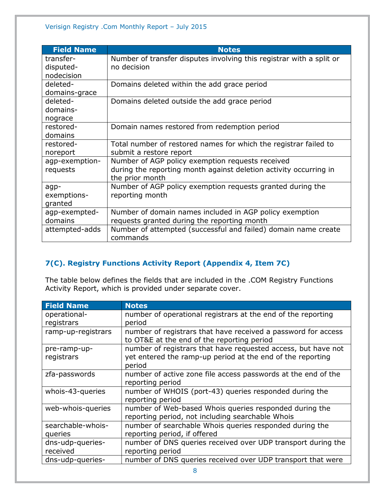| <b>Field Name</b> | <b>Notes</b>                                                         |
|-------------------|----------------------------------------------------------------------|
| transfer-         | Number of transfer disputes involving this registrar with a split or |
| disputed-         | no decision                                                          |
| nodecision        |                                                                      |
| deleted-          | Domains deleted within the add grace period                          |
| domains-grace     |                                                                      |
| deleted-          | Domains deleted outside the add grace period                         |
| domains-          |                                                                      |
| nograce           |                                                                      |
| restored-         | Domain names restored from redemption period                         |
| domains           |                                                                      |
| restored-         | Total number of restored names for which the registrar failed to     |
| noreport          | submit a restore report                                              |
| agp-exemption-    | Number of AGP policy exemption requests received                     |
| requests          | during the reporting month against deletion activity occurring in    |
|                   | the prior month                                                      |
| agp-              | Number of AGP policy exemption requests granted during the           |
| exemptions-       | reporting month                                                      |
| granted           |                                                                      |
| agp-exempted-     | Number of domain names included in AGP policy exemption              |
| domains           | requests granted during the reporting month                          |
| attempted-adds    | Number of attempted (successful and failed) domain name create       |
|                   | commands                                                             |

#### <span id="page-7-0"></span>**7(C). Registry Functions Activity Report (Appendix 4, Item 7C)**

The table below defines the fields that are included in the .COM Registry Functions Activity Report, which is provided under separate cover.

| <b>Field Name</b>  | <b>Notes</b>                                                  |
|--------------------|---------------------------------------------------------------|
| operational-       | number of operational registrars at the end of the reporting  |
| registrars         | period                                                        |
| ramp-up-registrars | number of registrars that have received a password for access |
|                    | to OT&E at the end of the reporting period                    |
| pre-ramp-up-       | number of registrars that have requested access, but have not |
| registrars         | yet entered the ramp-up period at the end of the reporting    |
|                    | period                                                        |
| zfa-passwords      | number of active zone file access passwords at the end of the |
|                    | reporting period                                              |
| whois-43-queries   | number of WHOIS (port-43) queries responded during the        |
|                    | reporting period                                              |
| web-whois-queries  | number of Web-based Whois queries responded during the        |
|                    | reporting period, not including searchable Whois              |
| searchable-whois-  | number of searchable Whois queries responded during the       |
| queries            | reporting period, if offered                                  |
| dns-udp-queries-   | number of DNS queries received over UDP transport during the  |
| received           | reporting period                                              |
| dns-udp-queries-   | number of DNS queries received over UDP transport that were   |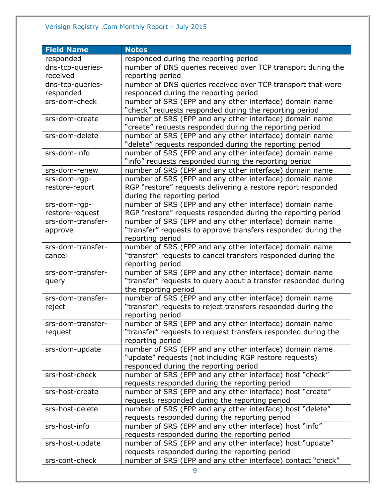#### Verisign Registry .Com Monthly Report – July 2015

| <b>Field Name</b> | <b>Notes</b>                                                                                                |
|-------------------|-------------------------------------------------------------------------------------------------------------|
| responded         | responded during the reporting period                                                                       |
| dns-tcp-queries-  | number of DNS queries received over TCP transport during the                                                |
| received          | reporting period                                                                                            |
| dns-tcp-queries-  | number of DNS queries received over TCP transport that were                                                 |
| responded         | responded during the reporting period                                                                       |
| srs-dom-check     | number of SRS (EPP and any other interface) domain name                                                     |
|                   | "check" requests responded during the reporting period                                                      |
| srs-dom-create    | number of SRS (EPP and any other interface) domain name                                                     |
|                   | "create" requests responded during the reporting period                                                     |
| srs-dom-delete    | number of SRS (EPP and any other interface) domain name                                                     |
|                   | "delete" requests responded during the reporting period                                                     |
| srs-dom-info      | number of SRS (EPP and any other interface) domain name                                                     |
|                   | "info" requests responded during the reporting period                                                       |
| srs-dom-renew     | number of SRS (EPP and any other interface) domain name                                                     |
| srs-dom-rgp-      | number of SRS (EPP and any other interface) domain name                                                     |
| restore-report    | RGP "restore" requests delivering a restore report responded                                                |
|                   | during the reporting period                                                                                 |
| srs-dom-rgp-      | number of SRS (EPP and any other interface) domain name                                                     |
| restore-request   | RGP "restore" requests responded during the reporting period                                                |
| srs-dom-transfer- | number of SRS (EPP and any other interface) domain name                                                     |
| approve           | "transfer" requests to approve transfers responded during the                                               |
|                   | reporting period                                                                                            |
| srs-dom-transfer- | number of SRS (EPP and any other interface) domain name                                                     |
| cancel            | "transfer" requests to cancel transfers responded during the                                                |
|                   | reporting period                                                                                            |
| srs-dom-transfer- | number of SRS (EPP and any other interface) domain name                                                     |
| query             | "transfer" requests to query about a transfer responded during                                              |
|                   | the reporting period                                                                                        |
| srs-dom-transfer- | number of SRS (EPP and any other interface) domain name                                                     |
| reject            | "transfer" requests to reject transfers responded during the                                                |
|                   | reporting period                                                                                            |
| srs-dom-transfer- | number of SRS (EPP and any other interface) domain name                                                     |
| request           | "transfer" requests to request transfers responded during the                                               |
|                   | reporting period                                                                                            |
| srs-dom-update    | number of SRS (EPP and any other interface) domain name                                                     |
|                   | "update" requests (not including RGP restore requests)                                                      |
| srs-host-check    | responded during the reporting period                                                                       |
|                   | number of SRS (EPP and any other interface) host "check"                                                    |
|                   | requests responded during the reporting period<br>number of SRS (EPP and any other interface) host "create" |
| srs-host-create   |                                                                                                             |
| srs-host-delete   | requests responded during the reporting period<br>number of SRS (EPP and any other interface) host "delete" |
|                   | requests responded during the reporting period                                                              |
| srs-host-info     | number of SRS (EPP and any other interface) host "info"                                                     |
|                   | requests responded during the reporting period                                                              |
| srs-host-update   | number of SRS (EPP and any other interface) host "update"                                                   |
|                   | requests responded during the reporting period                                                              |
| srs-cont-check    | number of SRS (EPP and any other interface) contact "check"                                                 |
|                   |                                                                                                             |